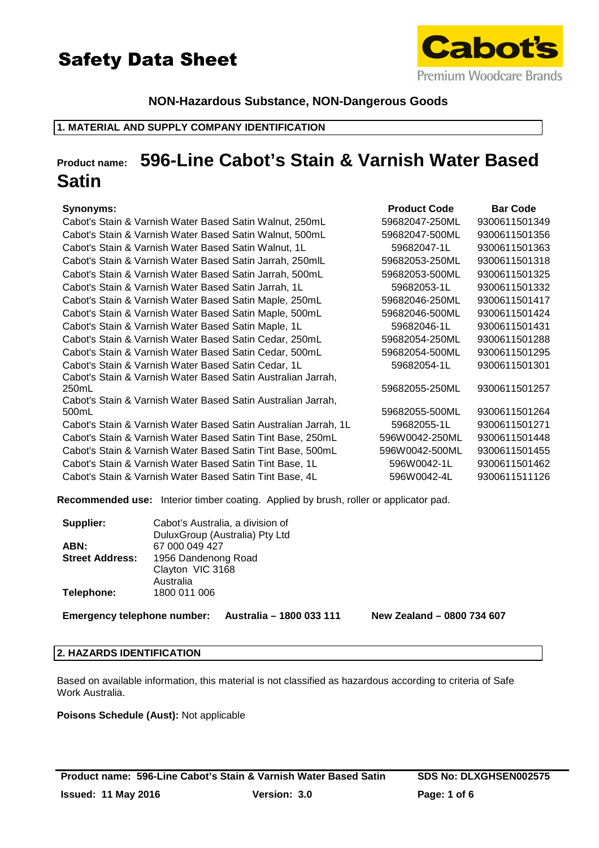



# **NON-Hazardous Substance, NON-Dangerous Goods**

### **1. MATERIAL AND SUPPLY COMPANY IDENTIFICATION**

# **Product name: 596-Line Cabot's Stain & Varnish Water Based Satin**

# **Synonyms: Product Code Bar Code**

| Cabot's Stain & Varnish Water Based Satin Walnut, 250mL         | 59682047-250ML | 9300611501349 |
|-----------------------------------------------------------------|----------------|---------------|
| Cabot's Stain & Varnish Water Based Satin Walnut, 500mL         | 59682047-500ML | 9300611501356 |
| Cabot's Stain & Varnish Water Based Satin Walnut, 1L            | 59682047-1L    | 9300611501363 |
| Cabot's Stain & Varnish Water Based Satin Jarrah, 250mlL        | 59682053-250ML | 9300611501318 |
| Cabot's Stain & Varnish Water Based Satin Jarrah, 500mL         | 59682053-500ML | 9300611501325 |
| Cabot's Stain & Varnish Water Based Satin Jarrah, 1L            | 59682053-1L    | 9300611501332 |
| Cabot's Stain & Varnish Water Based Satin Maple, 250mL          | 59682046-250ML | 9300611501417 |
| Cabot's Stain & Varnish Water Based Satin Maple, 500mL          | 59682046-500ML | 9300611501424 |
| Cabot's Stain & Varnish Water Based Satin Maple, 1L             | 59682046-1L    | 9300611501431 |
| Cabot's Stain & Varnish Water Based Satin Cedar, 250mL          | 59682054-250ML | 9300611501288 |
| Cabot's Stain & Varnish Water Based Satin Cedar, 500mL          | 59682054-500ML | 9300611501295 |
| Cabot's Stain & Varnish Water Based Satin Cedar, 1L             | 59682054-1L    | 9300611501301 |
| Cabot's Stain & Varnish Water Based Satin Australian Jarrah,    |                |               |
| 250mL                                                           | 59682055-250ML | 9300611501257 |
| Cabot's Stain & Varnish Water Based Satin Australian Jarrah,    |                |               |
| 500mL                                                           | 59682055-500ML | 9300611501264 |
| Cabot's Stain & Varnish Water Based Satin Australian Jarrah, 1L | 59682055-1L    | 9300611501271 |
| Cabot's Stain & Varnish Water Based Satin Tint Base, 250mL      | 596W0042-250ML | 9300611501448 |
| Cabot's Stain & Varnish Water Based Satin Tint Base, 500mL      | 596W0042-500ML | 9300611501455 |
| Cabot's Stain & Varnish Water Based Satin Tint Base, 1L         | 596W0042-1L    | 9300611501462 |
| Cabot's Stain & Varnish Water Based Satin Tint Base, 4L         | 596W0042-4L    | 9300611511126 |
|                                                                 |                |               |

**Recommended use:** Interior timber coating. Applied by brush, roller or applicator pad.

| Cabot's Australia, a division of |
|----------------------------------|
| DuluxGroup (Australia) Pty Ltd   |
| 67 000 049 427                   |
| 1956 Dandenong Road              |
| Clayton VIC 3168                 |
| Australia                        |
| 1800 011 006                     |
|                                  |

**Emergency telephone number: Australia – 1800 033 111 New Zealand – 0800 734 607**

#### **2. HAZARDS IDENTIFICATION**

Based on available information, this material is not classified as hazardous according to criteria of Safe Work Australia.

**Poisons Schedule (Aust):** Not applicable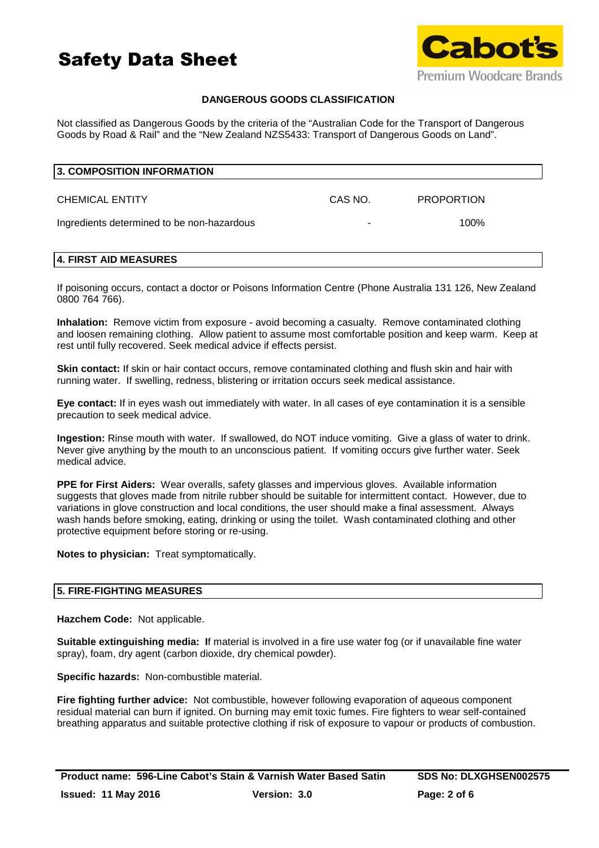



# **DANGEROUS GOODS CLASSIFICATION**

Not classified as Dangerous Goods by the criteria of the "Australian Code for the Transport of Dangerous Goods by Road & Rail" and the "New Zealand NZS5433: Transport of Dangerous Goods on Land".

| 3. COMPOSITION INFORMATION                 |         |                   |  |
|--------------------------------------------|---------|-------------------|--|
| <b>CHEMICAL ENTITY</b>                     | CAS NO. | <b>PROPORTION</b> |  |
| Ingredients determined to be non-hazardous |         | $100\%$           |  |

### **4. FIRST AID MEASURES**

If poisoning occurs, contact a doctor or Poisons Information Centre (Phone Australia 131 126, New Zealand 0800 764 766).

**Inhalation:** Remove victim from exposure - avoid becoming a casualty. Remove contaminated clothing and loosen remaining clothing. Allow patient to assume most comfortable position and keep warm. Keep at rest until fully recovered. Seek medical advice if effects persist.

**Skin contact:** If skin or hair contact occurs, remove contaminated clothing and flush skin and hair with running water. If swelling, redness, blistering or irritation occurs seek medical assistance.

**Eye contact:** If in eyes wash out immediately with water. In all cases of eye contamination it is a sensible precaution to seek medical advice.

**Ingestion:** Rinse mouth with water. If swallowed, do NOT induce vomiting. Give a glass of water to drink. Never give anything by the mouth to an unconscious patient. If vomiting occurs give further water. Seek medical advice.

**PPE for First Aiders:** Wear overalls, safety glasses and impervious gloves. Available information suggests that gloves made from nitrile rubber should be suitable for intermittent contact. However, due to variations in glove construction and local conditions, the user should make a final assessment. Always wash hands before smoking, eating, drinking or using the toilet. Wash contaminated clothing and other protective equipment before storing or re-using.

**Notes to physician:** Treat symptomatically.

### **5. FIRE-FIGHTING MEASURES**

**Hazchem Code:** Not applicable.

**Suitable extinguishing media: I**f material is involved in a fire use water fog (or if unavailable fine water spray), foam, dry agent (carbon dioxide, dry chemical powder).

**Specific hazards:** Non-combustible material.

**Fire fighting further advice:** Not combustible, however following evaporation of aqueous component residual material can burn if ignited. On burning may emit toxic fumes. Fire fighters to wear self-contained breathing apparatus and suitable protective clothing if risk of exposure to vapour or products of combustion.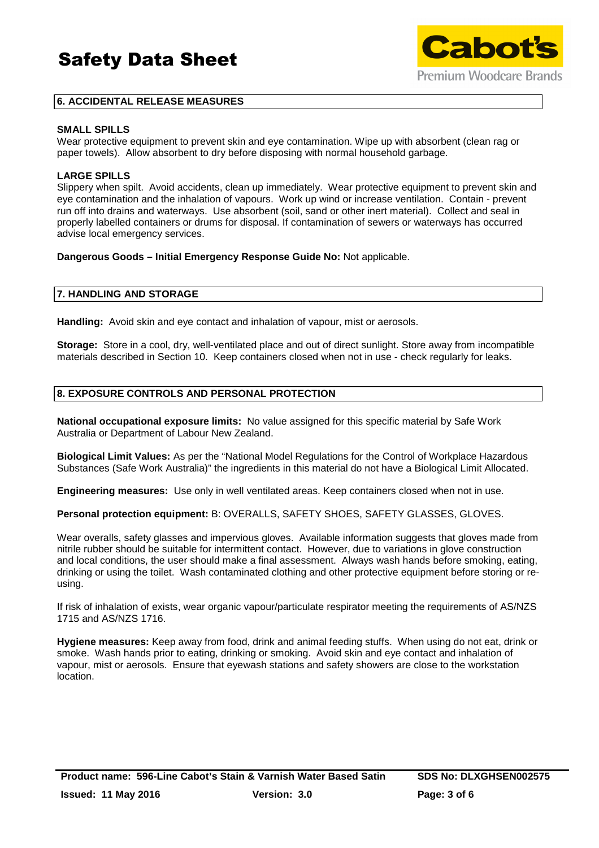# Safety Data Sheet



# **6. ACCIDENTAL RELEASE MEASURES**

### **SMALL SPILLS**

Wear protective equipment to prevent skin and eye contamination. Wipe up with absorbent (clean rag or paper towels). Allow absorbent to dry before disposing with normal household garbage.

### **LARGE SPILLS**

Slippery when spilt. Avoid accidents, clean up immediately. Wear protective equipment to prevent skin and eye contamination and the inhalation of vapours. Work up wind or increase ventilation. Contain - prevent run off into drains and waterways. Use absorbent (soil, sand or other inert material). Collect and seal in properly labelled containers or drums for disposal. If contamination of sewers or waterways has occurred advise local emergency services.

### **Dangerous Goods – Initial Emergency Response Guide No:** Not applicable.

### **7. HANDLING AND STORAGE**

**Handling:** Avoid skin and eye contact and inhalation of vapour, mist or aerosols.

**Storage:** Store in a cool, dry, well-ventilated place and out of direct sunlight. Store away from incompatible materials described in Section 10. Keep containers closed when not in use - check regularly for leaks.

### **8. EXPOSURE CONTROLS AND PERSONAL PROTECTION**

**National occupational exposure limits:** No value assigned for this specific material by Safe Work Australia or Department of Labour New Zealand.

**Biological Limit Values:** As per the "National Model Regulations for the Control of Workplace Hazardous Substances (Safe Work Australia)" the ingredients in this material do not have a Biological Limit Allocated.

**Engineering measures:** Use only in well ventilated areas. Keep containers closed when not in use.

**Personal protection equipment:** B: OVERALLS, SAFETY SHOES, SAFETY GLASSES, GLOVES.

Wear overalls, safety glasses and impervious gloves. Available information suggests that gloves made from nitrile rubber should be suitable for intermittent contact. However, due to variations in glove construction and local conditions, the user should make a final assessment. Always wash hands before smoking, eating, drinking or using the toilet. Wash contaminated clothing and other protective equipment before storing or reusing.

If risk of inhalation of exists, wear organic vapour/particulate respirator meeting the requirements of AS/NZS 1715 and AS/NZS 1716.

**Hygiene measures:** Keep away from food, drink and animal feeding stuffs. When using do not eat, drink or smoke. Wash hands prior to eating, drinking or smoking. Avoid skin and eye contact and inhalation of vapour, mist or aerosols. Ensure that eyewash stations and safety showers are close to the workstation location.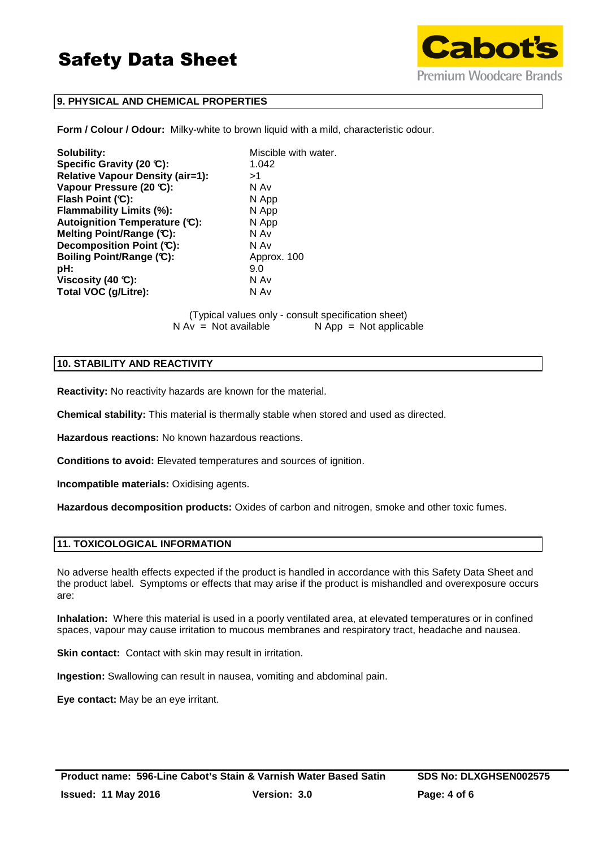

# **9. PHYSICAL AND CHEMICAL PROPERTIES**

**Form / Colour / Odour:** Milky-white to brown liquid with a mild, characteristic odour.

**Solubility:** Miscible with water. **Specific Gravity (20 °C):** 1.042 **Relative Vapour Density (air=1):** >1 **Vapour Pressure (20 °C):** N Av **Flash Point (°C):** N App **Flammability Limits (%):** N App **Autoignition Temperature (°C):** N App **Melting Point/Range (°C):** N Av **Decomposition Point (°C):** N Av **Boiling Point/Range (°C):** Approx. 100 **pH:** 9.0 **Viscosity (40 °C):** N Av **Total VOC (g/Litre):** N Av

> (Typical values only - consult specification sheet)  $N Av = Not available$   $N App = Not applicable$

### **10. STABILITY AND REACTIVITY**

**Reactivity:** No reactivity hazards are known for the material.

**Chemical stability:** This material is thermally stable when stored and used as directed.

**Hazardous reactions:** No known hazardous reactions.

**Conditions to avoid:** Elevated temperatures and sources of ignition.

**Incompatible materials:** Oxidising agents.

**Hazardous decomposition products:** Oxides of carbon and nitrogen, smoke and other toxic fumes.

### **11. TOXICOLOGICAL INFORMATION**

No adverse health effects expected if the product is handled in accordance with this Safety Data Sheet and the product label. Symptoms or effects that may arise if the product is mishandled and overexposure occurs are:

**Inhalation:** Where this material is used in a poorly ventilated area, at elevated temperatures or in confined spaces, vapour may cause irritation to mucous membranes and respiratory tract, headache and nausea.

**Skin contact:** Contact with skin may result in irritation.

**Ingestion:** Swallowing can result in nausea, vomiting and abdominal pain.

**Eye contact:** May be an eye irritant.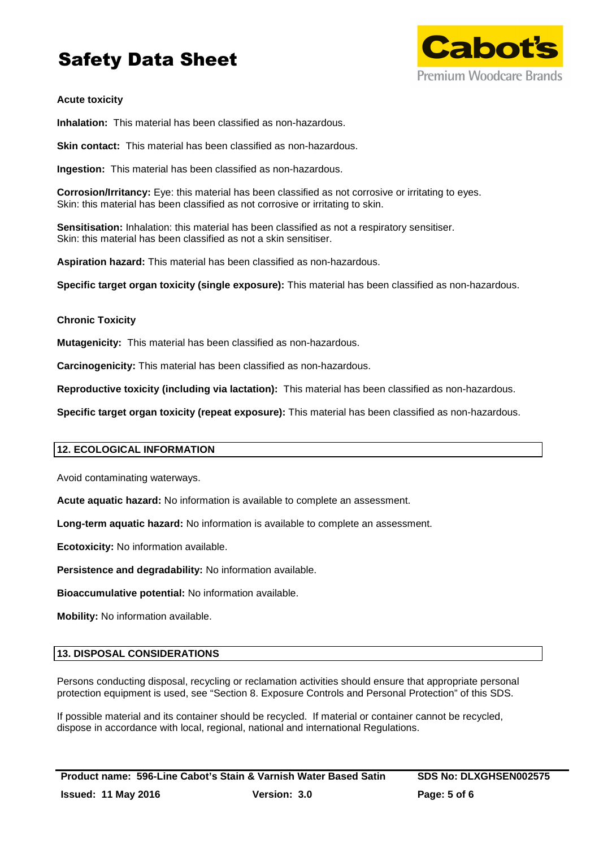# Safety Data Sheet



# **Acute toxicity**

**Inhalation:** This material has been classified as non-hazardous.

**Skin contact:** This material has been classified as non-hazardous.

**Ingestion:** This material has been classified as non-hazardous.

**Corrosion/Irritancy:** Eye: this material has been classified as not corrosive or irritating to eyes. Skin: this material has been classified as not corrosive or irritating to skin.

**Sensitisation:** Inhalation: this material has been classified as not a respiratory sensitiser. Skin: this material has been classified as not a skin sensitiser.

**Aspiration hazard:** This material has been classified as non-hazardous.

**Specific target organ toxicity (single exposure):** This material has been classified as non-hazardous.

### **Chronic Toxicity**

**Mutagenicity:** This material has been classified as non-hazardous.

**Carcinogenicity:** This material has been classified as non-hazardous.

**Reproductive toxicity (including via lactation):** This material has been classified as non-hazardous.

**Specific target organ toxicity (repeat exposure):** This material has been classified as non-hazardous.

### **12. ECOLOGICAL INFORMATION**

Avoid contaminating waterways.

**Acute aquatic hazard:** No information is available to complete an assessment.

**Long-term aquatic hazard:** No information is available to complete an assessment.

**Ecotoxicity:** No information available.

**Persistence and degradability:** No information available.

**Bioaccumulative potential:** No information available.

**Mobility:** No information available.

### **13. DISPOSAL CONSIDERATIONS**

Persons conducting disposal, recycling or reclamation activities should ensure that appropriate personal protection equipment is used, see "Section 8. Exposure Controls and Personal Protection" of this SDS.

If possible material and its container should be recycled. If material or container cannot be recycled, dispose in accordance with local, regional, national and international Regulations.